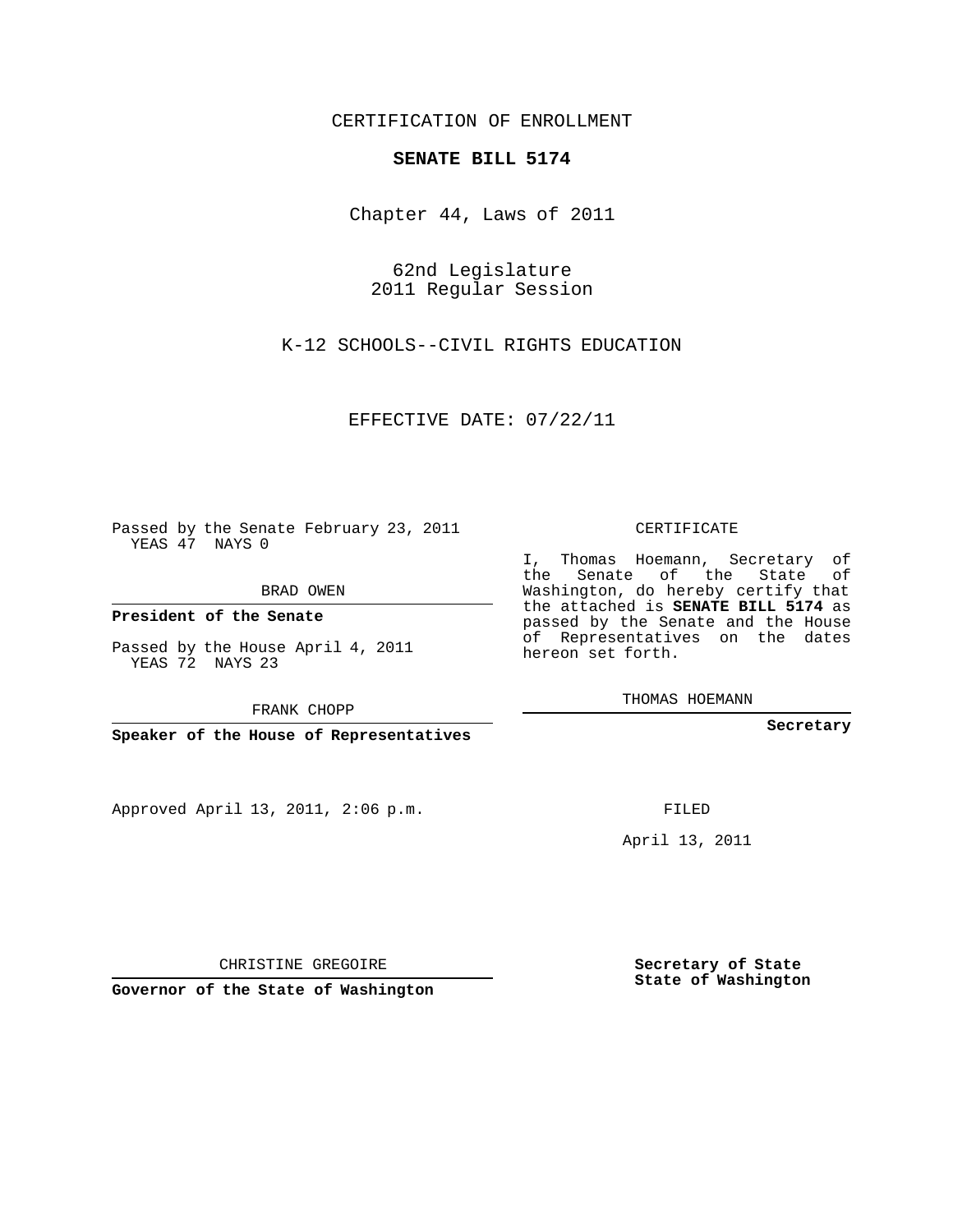CERTIFICATION OF ENROLLMENT

## **SENATE BILL 5174**

Chapter 44, Laws of 2011

62nd Legislature 2011 Regular Session

K-12 SCHOOLS--CIVIL RIGHTS EDUCATION

EFFECTIVE DATE: 07/22/11

Passed by the Senate February 23, 2011 YEAS 47 NAYS 0

BRAD OWEN

**President of the Senate**

Passed by the House April 4, 2011 YEAS 72 NAYS 23

FRANK CHOPP

**Speaker of the House of Representatives**

Approved April 13, 2011, 2:06 p.m.

CERTIFICATE

I, Thomas Hoemann, Secretary of the Senate of the State of Washington, do hereby certify that the attached is **SENATE BILL 5174** as passed by the Senate and the House of Representatives on the dates hereon set forth.

THOMAS HOEMANN

**Secretary**

FILED

April 13, 2011

CHRISTINE GREGOIRE

**Governor of the State of Washington**

**Secretary of State State of Washington**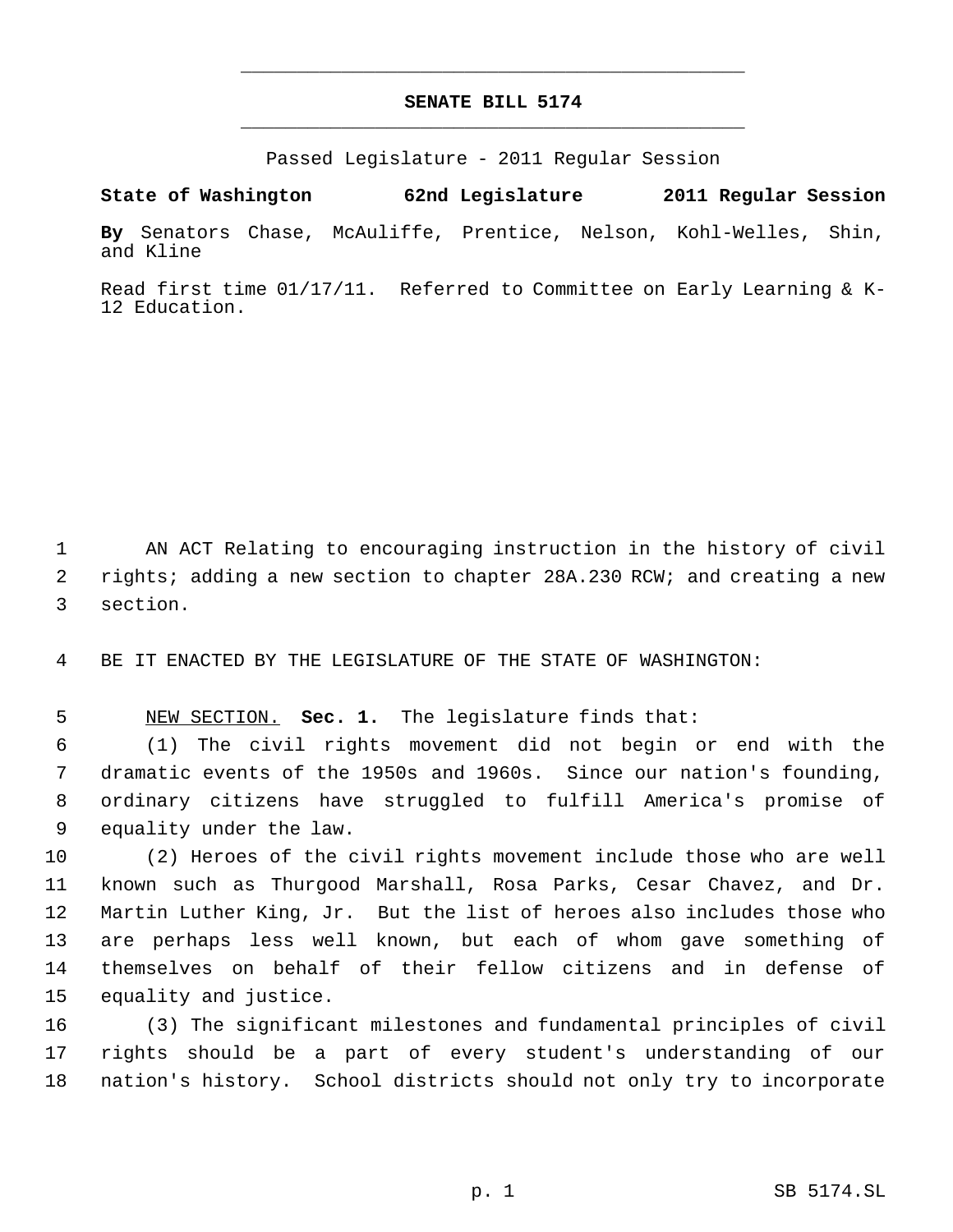## **SENATE BILL 5174** \_\_\_\_\_\_\_\_\_\_\_\_\_\_\_\_\_\_\_\_\_\_\_\_\_\_\_\_\_\_\_\_\_\_\_\_\_\_\_\_\_\_\_\_\_

\_\_\_\_\_\_\_\_\_\_\_\_\_\_\_\_\_\_\_\_\_\_\_\_\_\_\_\_\_\_\_\_\_\_\_\_\_\_\_\_\_\_\_\_\_

Passed Legislature - 2011 Regular Session

**State of Washington 62nd Legislature 2011 Regular Session**

**By** Senators Chase, McAuliffe, Prentice, Nelson, Kohl-Welles, Shin, and Kline

Read first time 01/17/11. Referred to Committee on Early Learning & K-12 Education.

 AN ACT Relating to encouraging instruction in the history of civil 2 rights; adding a new section to chapter 28A.230 RCW; and creating a new section.

BE IT ENACTED BY THE LEGISLATURE OF THE STATE OF WASHINGTON:

NEW SECTION. **Sec. 1.** The legislature finds that:

 (1) The civil rights movement did not begin or end with the dramatic events of the 1950s and 1960s. Since our nation's founding, ordinary citizens have struggled to fulfill America's promise of equality under the law.

 (2) Heroes of the civil rights movement include those who are well known such as Thurgood Marshall, Rosa Parks, Cesar Chavez, and Dr. Martin Luther King, Jr. But the list of heroes also includes those who are perhaps less well known, but each of whom gave something of themselves on behalf of their fellow citizens and in defense of equality and justice.

 (3) The significant milestones and fundamental principles of civil rights should be a part of every student's understanding of our nation's history. School districts should not only try to incorporate